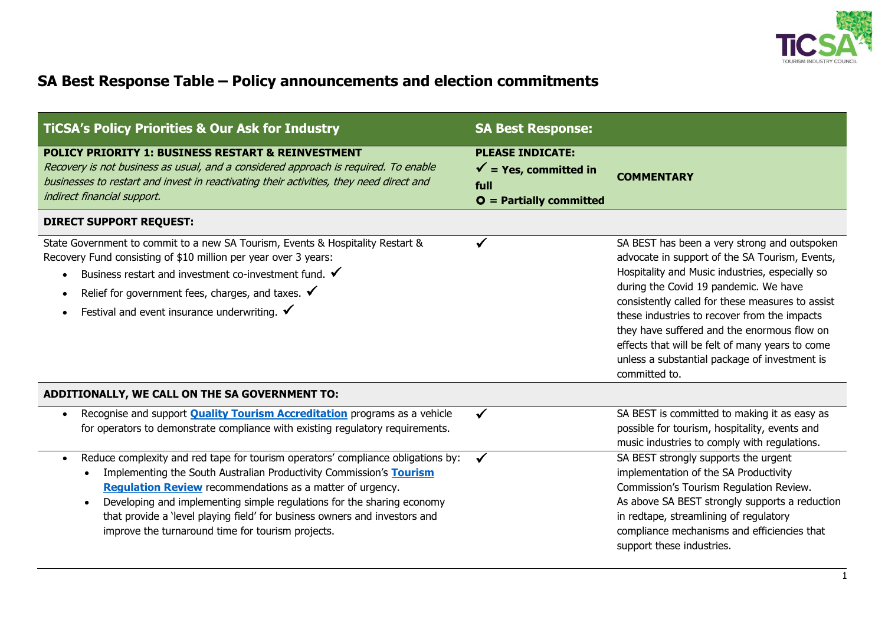

## **SA Best Response Table – Policy announcements and election commitments**

| <b>TICSA's Policy Priorities &amp; Our Ask for Industry</b>                                                                                                                                                                                                                                                                                                                                                                                                                     | <b>SA Best Response:</b>                                                                         |                                                                                                                                                                                                                                                                                                                                                                                                                                                                    |
|---------------------------------------------------------------------------------------------------------------------------------------------------------------------------------------------------------------------------------------------------------------------------------------------------------------------------------------------------------------------------------------------------------------------------------------------------------------------------------|--------------------------------------------------------------------------------------------------|--------------------------------------------------------------------------------------------------------------------------------------------------------------------------------------------------------------------------------------------------------------------------------------------------------------------------------------------------------------------------------------------------------------------------------------------------------------------|
| <b>POLICY PRIORITY 1: BUSINESS RESTART &amp; REINVESTMENT</b><br>Recovery is not business as usual, and a considered approach is required. To enable<br>businesses to restart and invest in reactivating their activities, they need direct and<br>indirect financial support.                                                                                                                                                                                                  | <b>PLEASE INDICATE:</b><br>$\checkmark$ = Yes, committed in<br>full<br>$O =$ Partially committed | <b>COMMENTARY</b>                                                                                                                                                                                                                                                                                                                                                                                                                                                  |
| <b>DIRECT SUPPORT REQUEST:</b>                                                                                                                                                                                                                                                                                                                                                                                                                                                  |                                                                                                  |                                                                                                                                                                                                                                                                                                                                                                                                                                                                    |
| State Government to commit to a new SA Tourism, Events & Hospitality Restart &<br>Recovery Fund consisting of \$10 million per year over 3 years:<br>Business restart and investment co-investment fund. $\checkmark$<br>$\bullet$<br>Relief for government fees, charges, and taxes. $\checkmark$<br>$\bullet$<br>Festival and event insurance underwriting. $\checkmark$                                                                                                      | ✓                                                                                                | SA BEST has been a very strong and outspoken<br>advocate in support of the SA Tourism, Events,<br>Hospitality and Music industries, especially so<br>during the Covid 19 pandemic. We have<br>consistently called for these measures to assist<br>these industries to recover from the impacts<br>they have suffered and the enormous flow on<br>effects that will be felt of many years to come<br>unless a substantial package of investment is<br>committed to. |
| ADDITIONALLY, WE CALL ON THE SA GOVERNMENT TO:                                                                                                                                                                                                                                                                                                                                                                                                                                  |                                                                                                  |                                                                                                                                                                                                                                                                                                                                                                                                                                                                    |
| Recognise and support <b>Quality Tourism Accreditation</b> programs as a vehicle<br>$\bullet$<br>for operators to demonstrate compliance with existing regulatory requirements.                                                                                                                                                                                                                                                                                                 | $\checkmark$                                                                                     | SA BEST is committed to making it as easy as<br>possible for tourism, hospitality, events and<br>music industries to comply with regulations.                                                                                                                                                                                                                                                                                                                      |
| Reduce complexity and red tape for tourism operators' compliance obligations by:<br>$\bullet$<br>Implementing the South Australian Productivity Commission's Tourism<br>$\bullet$<br><b>Regulation Review</b> recommendations as a matter of urgency.<br>Developing and implementing simple regulations for the sharing economy<br>$\bullet$<br>that provide a 'level playing field' for business owners and investors and<br>improve the turnaround time for tourism projects. | $\checkmark$                                                                                     | SA BEST strongly supports the urgent<br>implementation of the SA Productivity<br>Commission's Tourism Regulation Review.<br>As above SA BEST strongly supports a reduction<br>in redtape, streamlining of regulatory<br>compliance mechanisms and efficiencies that<br>support these industries.                                                                                                                                                                   |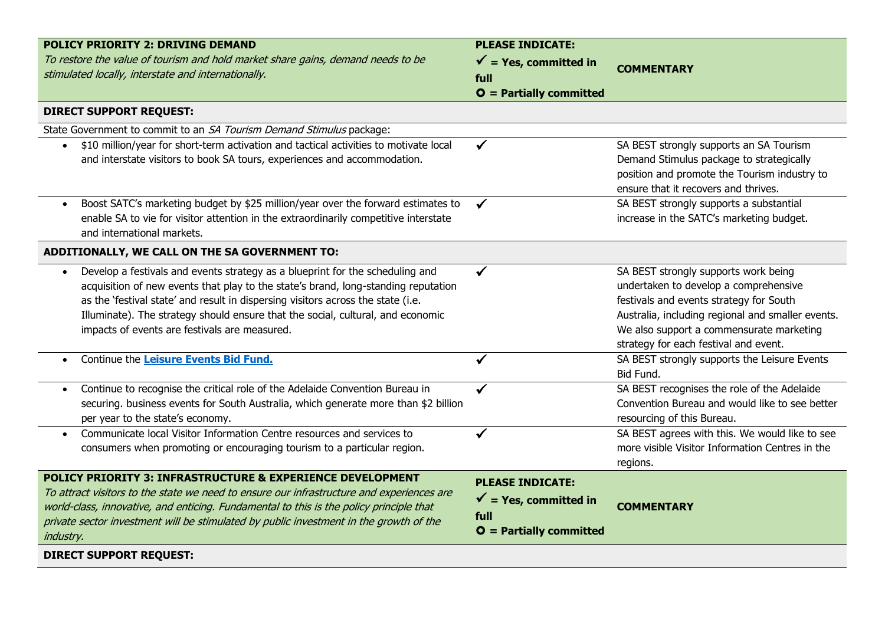| <b>POLICY PRIORITY 2: DRIVING DEMAND</b>                                                      | <b>PLEASE INDICATE:</b>          |                                                   |
|-----------------------------------------------------------------------------------------------|----------------------------------|---------------------------------------------------|
| To restore the value of tourism and hold market share gains, demand needs to be               | $\checkmark$ = Yes, committed in | <b>COMMENTARY</b>                                 |
| stimulated locally, interstate and internationally.                                           | full                             |                                                   |
|                                                                                               | $O =$ Partially committed        |                                                   |
| <b>DIRECT SUPPORT REQUEST:</b>                                                                |                                  |                                                   |
| State Government to commit to an SA Tourism Demand Stimulus package:                          |                                  |                                                   |
| \$10 million/year for short-term activation and tactical activities to motivate local         |                                  | SA BEST strongly supports an SA Tourism           |
| and interstate visitors to book SA tours, experiences and accommodation.                      |                                  | Demand Stimulus package to strategically          |
|                                                                                               |                                  | position and promote the Tourism industry to      |
|                                                                                               |                                  | ensure that it recovers and thrives.              |
| Boost SATC's marketing budget by \$25 million/year over the forward estimates to<br>$\bullet$ | $\checkmark$                     | SA BEST strongly supports a substantial           |
| enable SA to vie for visitor attention in the extraordinarily competitive interstate          |                                  | increase in the SATC's marketing budget.          |
| and international markets.                                                                    |                                  |                                                   |
| ADDITIONALLY, WE CALL ON THE SA GOVERNMENT TO:                                                |                                  |                                                   |
| Develop a festivals and events strategy as a blueprint for the scheduling and                 |                                  | SA BEST strongly supports work being              |
| acquisition of new events that play to the state's brand, long-standing reputation            |                                  | undertaken to develop a comprehensive             |
| as the 'festival state' and result in dispersing visitors across the state (i.e.              |                                  | festivals and events strategy for South           |
| Illuminate). The strategy should ensure that the social, cultural, and economic               |                                  | Australia, including regional and smaller events. |
| impacts of events are festivals are measured.                                                 |                                  | We also support a commensurate marketing          |
|                                                                                               |                                  | strategy for each festival and event.             |
| Continue the Leisure Events Bid Fund.<br>$\bullet$                                            | ✔                                | SA BEST strongly supports the Leisure Events      |
|                                                                                               |                                  | Bid Fund.                                         |
| Continue to recognise the critical role of the Adelaide Convention Bureau in<br>$\bullet$     |                                  | SA BEST recognises the role of the Adelaide       |
| securing. business events for South Australia, which generate more than \$2 billion           |                                  | Convention Bureau and would like to see better    |
| per year to the state's economy.                                                              |                                  | resourcing of this Bureau.                        |
| Communicate local Visitor Information Centre resources and services to                        | $\checkmark$                     | SA BEST agrees with this. We would like to see    |
| consumers when promoting or encouraging tourism to a particular region.                       |                                  | more visible Visitor Information Centres in the   |
|                                                                                               |                                  | regions.                                          |
| POLICY PRIORITY 3: INFRASTRUCTURE & EXPERIENCE DEVELOPMENT                                    | <b>PLEASE INDICATE:</b>          |                                                   |
| To attract visitors to the state we need to ensure our infrastructure and experiences are     | $\checkmark$ = Yes, committed in |                                                   |
| world-class, innovative, and enticing. Fundamental to this is the policy principle that       |                                  | <b>COMMENTARY</b>                                 |
| private sector investment will be stimulated by public investment in the growth of the        | full                             |                                                   |
| industry.                                                                                     | $O =$ Partially committed        |                                                   |
| <b>DIRECT SUPPORT REQUEST:</b>                                                                |                                  |                                                   |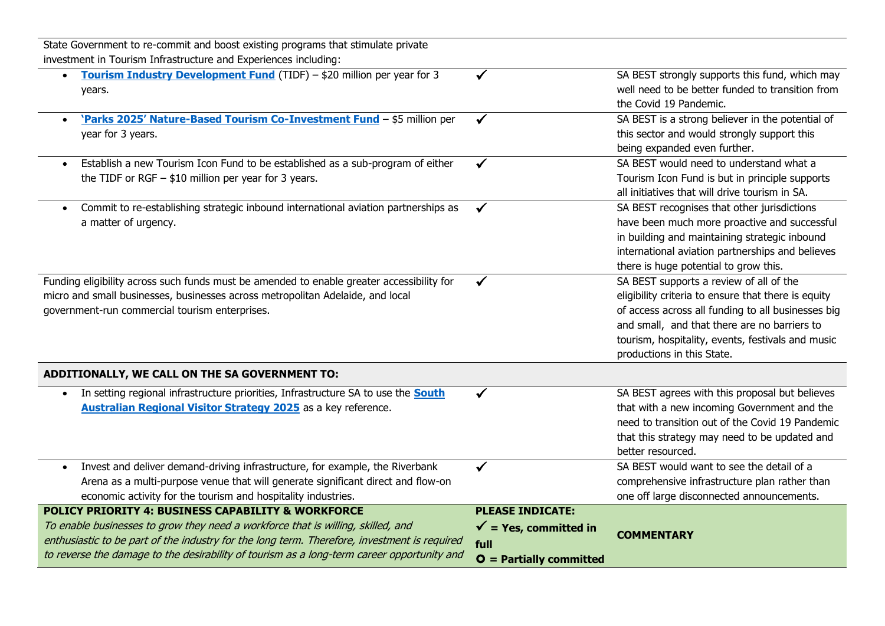| State Government to re-commit and boost existing programs that stimulate private             |                                  |                                                     |
|----------------------------------------------------------------------------------------------|----------------------------------|-----------------------------------------------------|
| investment in Tourism Infrastructure and Experiences including:                              |                                  |                                                     |
| Tourism Industry Development Fund (TIDF) - \$20 million per year for 3                       | ✔                                | SA BEST strongly supports this fund, which may      |
| years.                                                                                       |                                  | well need to be better funded to transition from    |
|                                                                                              |                                  | the Covid 19 Pandemic.                              |
| 'Parks 2025' Nature-Based Tourism Co-Investment Fund - \$5 million per                       |                                  | SA BEST is a strong believer in the potential of    |
| year for 3 years.                                                                            |                                  | this sector and would strongly support this         |
|                                                                                              |                                  | being expanded even further.                        |
| Establish a new Tourism Icon Fund to be established as a sub-program of either               | $\checkmark$                     | SA BEST would need to understand what a             |
| the TIDF or RGF $-$ \$10 million per year for 3 years.                                       |                                  | Tourism Icon Fund is but in principle supports      |
|                                                                                              |                                  | all initiatives that will drive tourism in SA.      |
| Commit to re-establishing strategic inbound international aviation partnerships as           |                                  | SA BEST recognises that other jurisdictions         |
| a matter of urgency.                                                                         |                                  | have been much more proactive and successful        |
|                                                                                              |                                  | in building and maintaining strategic inbound       |
|                                                                                              |                                  | international aviation partnerships and believes    |
|                                                                                              |                                  | there is huge potential to grow this.               |
| Funding eligibility across such funds must be amended to enable greater accessibility for    |                                  | SA BEST supports a review of all of the             |
| micro and small businesses, businesses across metropolitan Adelaide, and local               |                                  | eligibility criteria to ensure that there is equity |
| government-run commercial tourism enterprises.                                               |                                  | of access across all funding to all businesses big  |
|                                                                                              |                                  | and small, and that there are no barriers to        |
|                                                                                              |                                  | tourism, hospitality, events, festivals and music   |
|                                                                                              |                                  | productions in this State.                          |
| ADDITIONALLY, WE CALL ON THE SA GOVERNMENT TO:                                               |                                  |                                                     |
| In setting regional infrastructure priorities, Infrastructure SA to use the <b>South</b>     |                                  | SA BEST agrees with this proposal but believes      |
| <b>Australian Regional Visitor Strategy 2025</b> as a key reference.                         |                                  | that with a new incoming Government and the         |
|                                                                                              |                                  | need to transition out of the Covid 19 Pandemic     |
|                                                                                              |                                  | that this strategy may need to be updated and       |
|                                                                                              |                                  | better resourced.                                   |
| Invest and deliver demand-driving infrastructure, for example, the Riverbank                 | ✓                                | SA BEST would want to see the detail of a           |
| Arena as a multi-purpose venue that will generate significant direct and flow-on             |                                  | comprehensive infrastructure plan rather than       |
| economic activity for the tourism and hospitality industries.                                |                                  | one off large disconnected announcements.           |
| <b>POLICY PRIORITY 4: BUSINESS CAPABILITY &amp; WORKFORCE</b>                                | <b>PLEASE INDICATE:</b>          |                                                     |
| To enable businesses to grow they need a workforce that is willing, skilled, and             | $\checkmark$ = Yes, committed in | <b>COMMENTARY</b>                                   |
| enthusiastic to be part of the industry for the long term. Therefore, investment is required | full                             |                                                     |
| to reverse the damage to the desirability of tourism as a long-term career opportunity and   | $O =$ Partially committed        |                                                     |

 $\overline{\phantom{0}}$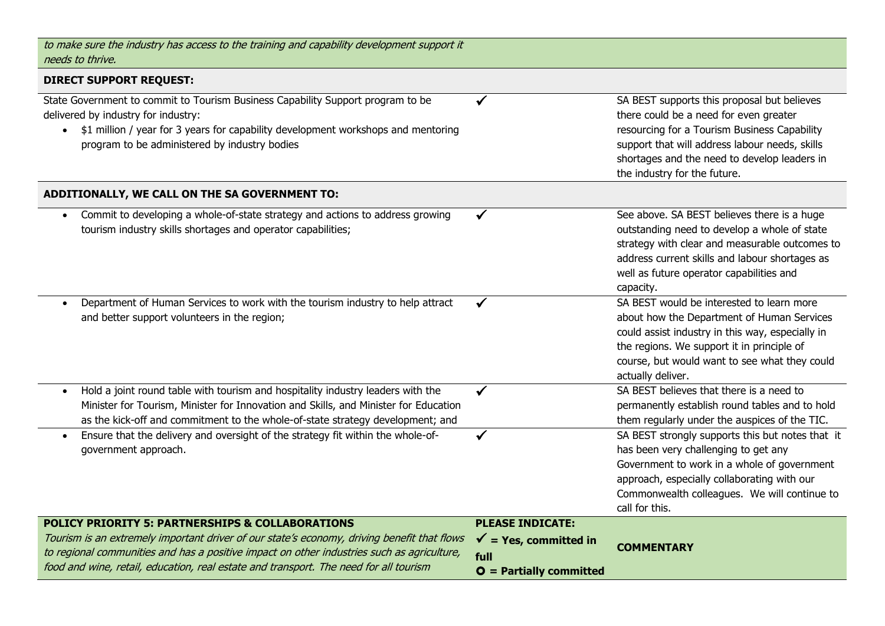| to make sure the industry has access to the training and capability development support it<br>needs to thrive.                                                                                                                                                                                                                                    |                                                                                                  |                                                                                                                                                                                                                                                                         |
|---------------------------------------------------------------------------------------------------------------------------------------------------------------------------------------------------------------------------------------------------------------------------------------------------------------------------------------------------|--------------------------------------------------------------------------------------------------|-------------------------------------------------------------------------------------------------------------------------------------------------------------------------------------------------------------------------------------------------------------------------|
| <b>DIRECT SUPPORT REQUEST:</b>                                                                                                                                                                                                                                                                                                                    |                                                                                                  |                                                                                                                                                                                                                                                                         |
| State Government to commit to Tourism Business Capability Support program to be<br>delivered by industry for industry:<br>\$1 million / year for 3 years for capability development workshops and mentoring<br>$\bullet$<br>program to be administered by industry bodies                                                                         |                                                                                                  | SA BEST supports this proposal but believes<br>there could be a need for even greater<br>resourcing for a Tourism Business Capability<br>support that will address labour needs, skills<br>shortages and the need to develop leaders in<br>the industry for the future. |
| ADDITIONALLY, WE CALL ON THE SA GOVERNMENT TO:                                                                                                                                                                                                                                                                                                    |                                                                                                  |                                                                                                                                                                                                                                                                         |
| Commit to developing a whole-of-state strategy and actions to address growing<br>tourism industry skills shortages and operator capabilities;                                                                                                                                                                                                     | ✓                                                                                                | See above. SA BEST believes there is a huge<br>outstanding need to develop a whole of state<br>strategy with clear and measurable outcomes to<br>address current skills and labour shortages as<br>well as future operator capabilities and<br>capacity.                |
| Department of Human Services to work with the tourism industry to help attract<br>and better support volunteers in the region;                                                                                                                                                                                                                    | ✓                                                                                                | SA BEST would be interested to learn more<br>about how the Department of Human Services<br>could assist industry in this way, especially in<br>the regions. We support it in principle of<br>course, but would want to see what they could<br>actually deliver.         |
| Hold a joint round table with tourism and hospitality industry leaders with the<br>$\bullet$<br>Minister for Tourism, Minister for Innovation and Skills, and Minister for Education<br>as the kick-off and commitment to the whole-of-state strategy development; and                                                                            | ✓                                                                                                | SA BEST believes that there is a need to<br>permanently establish round tables and to hold<br>them regularly under the auspices of the TIC.                                                                                                                             |
| Ensure that the delivery and oversight of the strategy fit within the whole-of-<br>$\bullet$<br>government approach.                                                                                                                                                                                                                              |                                                                                                  | SA BEST strongly supports this but notes that it<br>has been very challenging to get any<br>Government to work in a whole of government<br>approach, especially collaborating with our<br>Commonwealth colleagues. We will continue to<br>call for this.                |
| <b>POLICY PRIORITY 5: PARTNERSHIPS &amp; COLLABORATIONS</b><br>Tourism is an extremely important driver of our state's economy, driving benefit that flows<br>to regional communities and has a positive impact on other industries such as agriculture,<br>food and wine, retail, education, real estate and transport. The need for all tourism | <b>PLEASE INDICATE:</b><br>$\checkmark$ = Yes, committed in<br>full<br>$O =$ Partially committed | <b>COMMENTARY</b>                                                                                                                                                                                                                                                       |